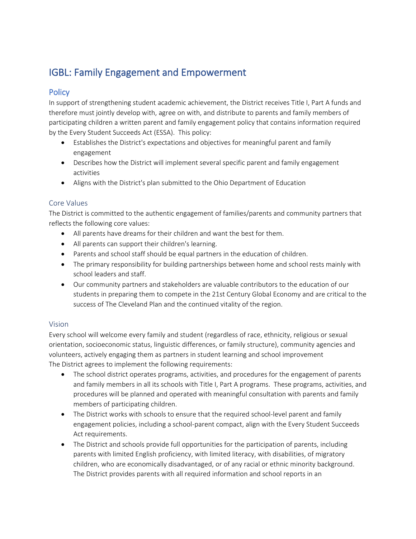# IGBL: Family Engagement and Empowerment

## **Policy**

In support of strengthening student academic achievement, the District receives Title I, Part A funds and therefore must jointly develop with, agree on with, and distribute to parents and family members of participating children a written parent and family engagement policy that contains information required by the Every Student Succeeds Act (ESSA). This policy:

- Establishes the District's expectations and objectives for meaningful parent and family engagement
- Describes how the District will implement several specific parent and family engagement activities
- Aligns with the District's plan submitted to the Ohio Department of Education

#### Core Values

The District is committed to the authentic engagement of families/parents and community partners that reflects the following core values:

- All parents have dreams for their children and want the best for them.
- All parents can support their children's learning.
- Parents and school staff should be equal partners in the education of children.
- The primary responsibility for building partnerships between home and school rests mainly with school leaders and staff.
- Our community partners and stakeholders are valuable contributors to the education of our students in preparing them to compete in the 21st Century Global Economy and are critical to the success of The Cleveland Plan and the continued vitality of the region.

#### Vision

Every school will welcome every family and student (regardless of race, ethnicity, religious or sexual orientation, socioeconomic status, linguistic differences, or family structure), community agencies and volunteers, actively engaging them as partners in student learning and school improvement The District agrees to implement the following requirements:

- The school district operates programs, activities, and procedures for the engagement of parents and family members in all its schools with Title I, Part A programs. These programs, activities, and procedures will be planned and operated with meaningful consultation with parents and family members of participating children.
- The District works with schools to ensure that the required school-level parent and family engagement policies, including a school-parent compact, align with the Every Student Succeeds Act requirements.
- The District and schools provide full opportunities for the participation of parents, including parents with limited English proficiency, with limited literacy, with disabilities, of migratory children, who are economically disadvantaged, or of any racial or ethnic minority background. The District provides parents with all required information and school reports in an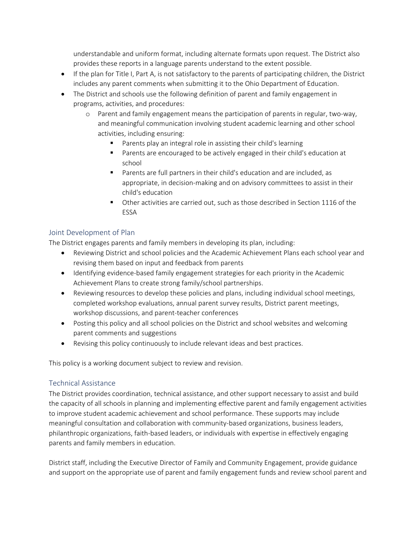understandable and uniform format, including alternate formats upon request. The District also provides these reports in a language parents understand to the extent possible.

- If the plan for Title I, Part A, is not satisfactory to the parents of participating children, the District includes any parent comments when submitting it to the Ohio Department of Education.
- The District and schools use the following definition of parent and family engagement in programs, activities, and procedures:
	- o Parent and family engagement means the participation of parents in regular, two-way, and meaningful communication involving student academic learning and other school activities, including ensuring:
		- Parents play an integral role in assisting their child's learning
		- Parents are encouraged to be actively engaged in their child's education at school
		- Parents are full partners in their child's education and are included, as appropriate, in decision-making and on advisory committees to assist in their child's education
		- Other activities are carried out, such as those described in Section 1116 of the ESSA

### Joint Development of Plan

The District engages parents and family members in developing its plan, including:

- Reviewing District and school policies and the Academic Achievement Plans each school year and revising them based on input and feedback from parents
- Identifying evidence-based family engagement strategies for each priority in the Academic Achievement Plans to create strong family/school partnerships.
- Reviewing resources to develop these policies and plans, including individual school meetings, completed workshop evaluations, annual parent survey results, District parent meetings, workshop discussions, and parent-teacher conferences
- Posting this policy and all school policies on the District and school websites and welcoming parent comments and suggestions
- Revising this policy continuously to include relevant ideas and best practices.

This policy is a working document subject to review and revision.

#### Technical Assistance

The District provides coordination, technical assistance, and other support necessary to assist and build the capacity of all schools in planning and implementing effective parent and family engagement activities to improve student academic achievement and school performance. These supports may include meaningful consultation and collaboration with community-based organizations, business leaders, philanthropic organizations, faith-based leaders, or individuals with expertise in effectively engaging parents and family members in education.

District staff, including the Executive Director of Family and Community Engagement, provide guidance and support on the appropriate use of parent and family engagement funds and review school parent and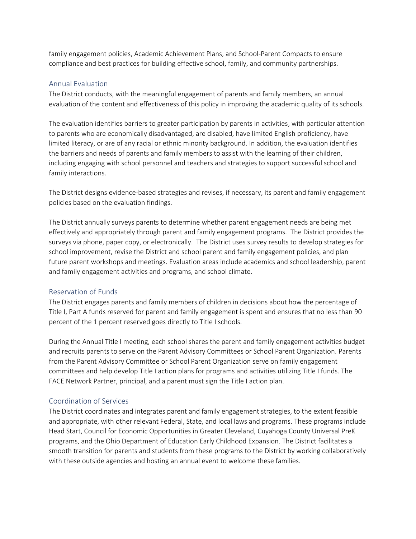family engagement policies, Academic Achievement Plans, and School-Parent Compacts to ensure compliance and best practices for building effective school, family, and community partnerships.

#### Annual Evaluation

The District conducts, with the meaningful engagement of parents and family members, an annual evaluation of the content and effectiveness of this policy in improving the academic quality of its schools.

The evaluation identifies barriers to greater participation by parents in activities, with particular attention to parents who are economically disadvantaged, are disabled, have limited English proficiency, have limited literacy, or are of any racial or ethnic minority background. In addition, the evaluation identifies the barriers and needs of parents and family members to assist with the learning of their children, including engaging with school personnel and teachers and strategies to support successful school and family interactions.

The District designs evidence-based strategies and revises, if necessary, its parent and family engagement policies based on the evaluation findings.

The District annually surveys parents to determine whether parent engagement needs are being met effectively and appropriately through parent and family engagement programs. The District provides the surveys via phone, paper copy, or electronically. The District uses survey results to develop strategies for school improvement, revise the District and school parent and family engagement policies, and plan future parent workshops and meetings. Evaluation areas include academics and school leadership, parent and family engagement activities and programs, and school climate.

#### Reservation of Funds

The District engages parents and family members of children in decisions about how the percentage of Title I, Part A funds reserved for parent and family engagement is spent and ensures that no less than 90 percent of the 1 percent reserved goes directly to Title I schools.

During the Annual Title I meeting, each school shares the parent and family engagement activities budget and recruits parents to serve on the Parent Advisory Committees or School Parent Organization. Parents from the Parent Advisory Committee or School Parent Organization serve on family engagement committees and help develop Title I action plans for programs and activities utilizing Title I funds. The FACE Network Partner, principal, and a parent must sign the Title I action plan.

#### Coordination of Services

The District coordinates and integrates parent and family engagement strategies, to the extent feasible and appropriate, with other relevant Federal, State, and local laws and programs. These programs include Head Start, Council for Economic Opportunities in Greater Cleveland, Cuyahoga County Universal PreK programs, and the Ohio Department of Education Early Childhood Expansion. The District facilitates a smooth transition for parents and students from these programs to the District by working collaboratively with these outside agencies and hosting an annual event to welcome these families.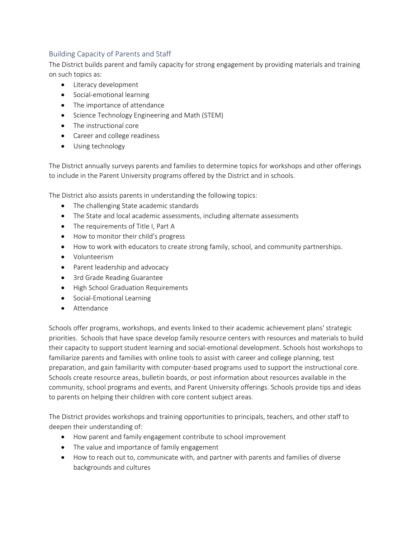## Building Capacity of Parents and Staff

The District builds parent and family capacity for strong engagement by providing materials and training on such topics as:

- Literacy development
- Social-emotional learning
- The importance of attendance
- Science Technology Engineering and Math (STEM)
- The instructional core
- Career and college readiness
- Using technology

The District annually surveys parents and families to determine topics for workshops and other offerings to include in the Parent University programs offered by the District and in schools.

The District also assists parents in understanding the following topics:

- The challenging State academic standards
- The State and local academic assessments, including alternate assessments
- The requirements of Title I, Part A
- How to monitor their child's progress
- How to work with educators to create strong family, school, and community partnerships.
- Volunteerism
- Parent leadership and advocacy
- 3rd Grade Reading Guarantee
- High School Graduation Requirements
- Social-Emotional Learning
- Attendance

Schools offer programs, workshops, and events linked to their academic achievement plans' strategic priorities. Schools that have space develop family resource centers with resources and materials to build their capacity to support student learning and social-emotional development. Schools host workshops to familiarize parents and families with online tools to assist with career and college planning, test preparation, and gain familiarity with computer-based programs used to support the instructional core. Schools create resource areas, bulletin boards, or post information about resources available in the community, school programs and events, and Parent University offerings. Schools provide tips and ideas to parents on helping their children with core content subject areas.

The District provides workshops and training opportunities to principals, teachers, and other staff to deepen their understanding of:

- How parent and family engagement contribute to school improvement
- The value and importance of family engagement
- How to reach out to, communicate with, and partner with parents and families of diverse backgrounds and cultures